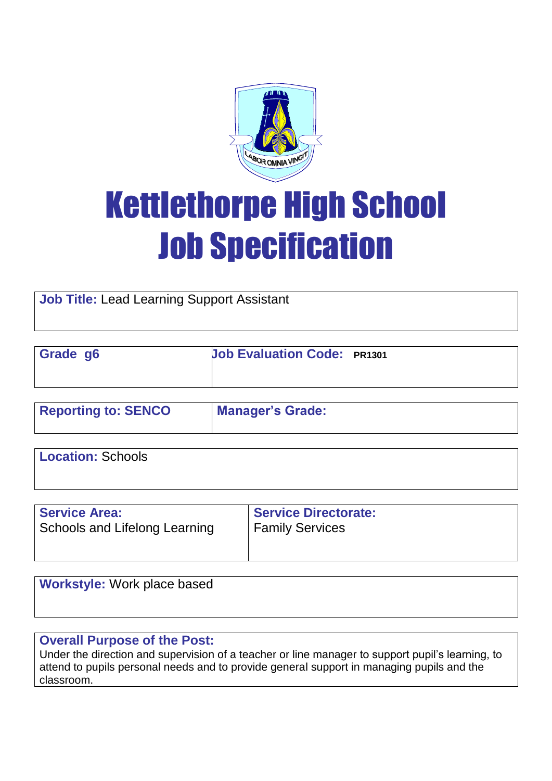

# Kettlethorpe High School Job Specification

**Job Title:** Lead Learning Support Assistant

| Grade g6 | <b>Job Evaluation Code: PR1301</b> |
|----------|------------------------------------|
|          |                                    |

| <b>Reporting to: SENCO</b> | <b>Manager's Grade:</b> |
|----------------------------|-------------------------|
|                            |                         |

**Location:** Schools

| <b>Service Directorate:</b> |
|-----------------------------|
|                             |

**Workstyle:** Work place based

# **Overall Purpose of the Post:**

Under the direction and supervision of a teacher or line manager to support pupil's learning, to attend to pupils personal needs and to provide general support in managing pupils and the classroom.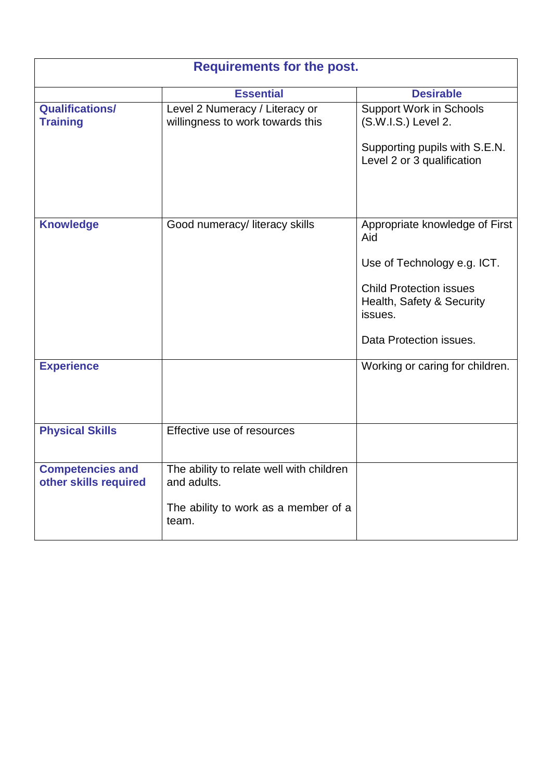| <b>Requirements for the post.</b>                |                                                                    |                                                                        |  |
|--------------------------------------------------|--------------------------------------------------------------------|------------------------------------------------------------------------|--|
|                                                  | <b>Essential</b>                                                   | <b>Desirable</b>                                                       |  |
| <b>Qualifications/</b><br><b>Training</b>        | Level 2 Numeracy / Literacy or<br>willingness to work towards this | <b>Support Work in Schools</b><br>(S.W.I.S.) Level 2.                  |  |
|                                                  |                                                                    | Supporting pupils with S.E.N.<br>Level 2 or 3 qualification            |  |
| <b>Knowledge</b>                                 | Good numeracy/ literacy skills                                     | Appropriate knowledge of First<br>Aid                                  |  |
|                                                  |                                                                    | Use of Technology e.g. ICT.                                            |  |
|                                                  |                                                                    | <b>Child Protection issues</b><br>Health, Safety & Security<br>issues. |  |
|                                                  |                                                                    | Data Protection issues.                                                |  |
| <b>Experience</b>                                |                                                                    | Working or caring for children.                                        |  |
| <b>Physical Skills</b>                           | Effective use of resources                                         |                                                                        |  |
| <b>Competencies and</b><br>other skills required | The ability to relate well with children<br>and adults.            |                                                                        |  |
|                                                  | The ability to work as a member of a<br>team.                      |                                                                        |  |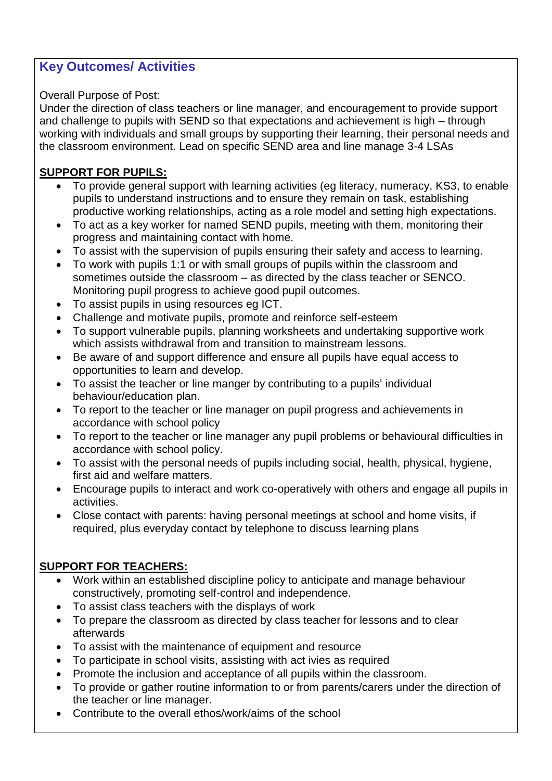# **Key Outcomes/ Activities**

## Overall Purpose of Post:

Under the direction of class teachers or line manager, and encouragement to provide support and challenge to pupils with SEND so that expectations and achievement is high – through working with individuals and small groups by supporting their learning, their personal needs and the classroom environment. Lead on specific SEND area and line manage 3-4 LSAs

## **SUPPORT FOR PUPILS:**

- To provide general support with learning activities (eg literacy, numeracy, KS3, to enable pupils to understand instructions and to ensure they remain on task, establishing productive working relationships, acting as a role model and setting high expectations.
- To act as a key worker for named SEND pupils, meeting with them, monitoring their progress and maintaining contact with home.
- To assist with the supervision of pupils ensuring their safety and access to learning.
- To work with pupils 1:1 or with small groups of pupils within the classroom and sometimes outside the classroom – as directed by the class teacher or SENCO. Monitoring pupil progress to achieve good pupil outcomes.
- To assist pupils in using resources eg ICT.
- Challenge and motivate pupils, promote and reinforce self-esteem
- To support vulnerable pupils, planning worksheets and undertaking supportive work which assists withdrawal from and transition to mainstream lessons.
- Be aware of and support difference and ensure all pupils have equal access to opportunities to learn and develop.
- To assist the teacher or line manger by contributing to a pupils' individual behaviour/education plan.
- To report to the teacher or line manager on pupil progress and achievements in accordance with school policy
- To report to the teacher or line manager any pupil problems or behavioural difficulties in accordance with school policy.
- To assist with the personal needs of pupils including social, health, physical, hygiene, first aid and welfare matters.
- Encourage pupils to interact and work co-operatively with others and engage all pupils in activities.
- Close contact with parents: having personal meetings at school and home visits, if required, plus everyday contact by telephone to discuss learning plans

## **SUPPORT FOR TEACHERS:**

- Work within an established discipline policy to anticipate and manage behaviour constructively, promoting self-control and independence.
- To assist class teachers with the displays of work
- To prepare the classroom as directed by class teacher for lessons and to clear afterwards
- To assist with the maintenance of equipment and resource
- To participate in school visits, assisting with act ivies as required
- Promote the inclusion and acceptance of all pupils within the classroom.
- To provide or gather routine information to or from parents/carers under the direction of the teacher or line manager.
- Contribute to the overall ethos/work/aims of the school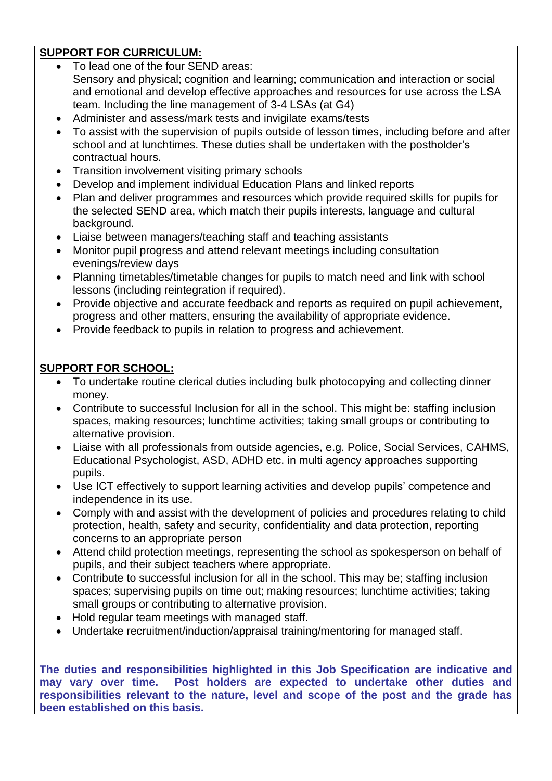# **SUPPORT FOR CURRICULUM:**

- To lead one of the four SEND areas: Sensory and physical; cognition and learning; communication and interaction or social and emotional and develop effective approaches and resources for use across the LSA team. Including the line management of 3-4 LSAs (at G4)
- Administer and assess/mark tests and invigilate exams/tests
- To assist with the supervision of pupils outside of lesson times, including before and after school and at lunchtimes. These duties shall be undertaken with the postholder's contractual hours.
- Transition involvement visiting primary schools
- Develop and implement individual Education Plans and linked reports
- Plan and deliver programmes and resources which provide required skills for pupils for the selected SEND area, which match their pupils interests, language and cultural background.
- Liaise between managers/teaching staff and teaching assistants
- Monitor pupil progress and attend relevant meetings including consultation evenings/review days
- Planning timetables/timetable changes for pupils to match need and link with school lessons (including reintegration if required).
- Provide objective and accurate feedback and reports as required on pupil achievement, progress and other matters, ensuring the availability of appropriate evidence.
- Provide feedback to pupils in relation to progress and achievement.

## **SUPPORT FOR SCHOOL:**

- To undertake routine clerical duties including bulk photocopying and collecting dinner money.
- Contribute to successful Inclusion for all in the school. This might be: staffing inclusion spaces, making resources; lunchtime activities; taking small groups or contributing to alternative provision.
- Liaise with all professionals from outside agencies, e.g. Police, Social Services, CAHMS, Educational Psychologist, ASD, ADHD etc. in multi agency approaches supporting pupils.
- Use ICT effectively to support learning activities and develop pupils' competence and independence in its use.
- Comply with and assist with the development of policies and procedures relating to child protection, health, safety and security, confidentiality and data protection, reporting concerns to an appropriate person
- Attend child protection meetings, representing the school as spokesperson on behalf of pupils, and their subject teachers where appropriate.
- Contribute to successful inclusion for all in the school. This may be; staffing inclusion spaces; supervising pupils on time out; making resources; lunchtime activities; taking small groups or contributing to alternative provision.
- Hold regular team meetings with managed staff.
- Undertake recruitment/induction/appraisal training/mentoring for managed staff.

**The duties and responsibilities highlighted in this Job Specification are indicative and may vary over time. Post holders are expected to undertake other duties and responsibilities relevant to the nature, level and scope of the post and the grade has been established on this basis.**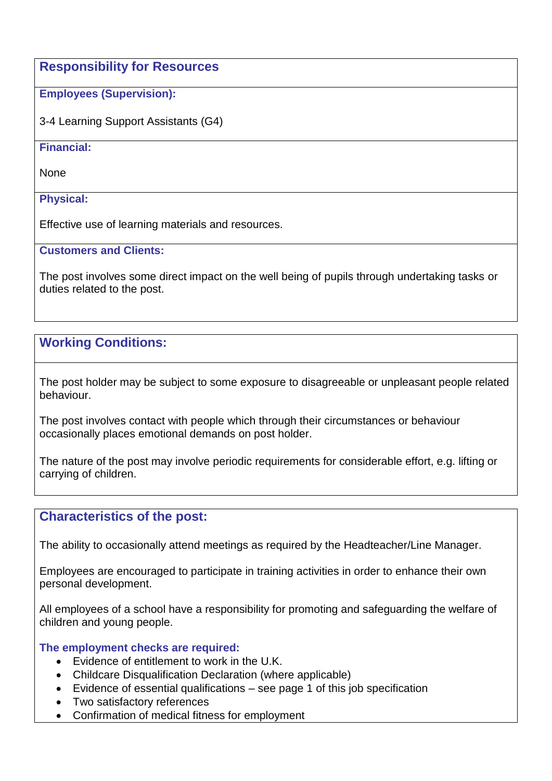**Responsibility for Resources**

## **Employees (Supervision):**

3-4 Learning Support Assistants (G4)

#### **Financial:**

None

### **Physical:**

Effective use of learning materials and resources.

#### **Customers and Clients:**

The post involves some direct impact on the well being of pupils through undertaking tasks or duties related to the post.

# **Working Conditions:**

The post holder may be subject to some exposure to disagreeable or unpleasant people related behaviour.

The post involves contact with people which through their circumstances or behaviour occasionally places emotional demands on post holder.

The nature of the post may involve periodic requirements for considerable effort, e.g. lifting or carrying of children.

## **Characteristics of the post:**

The ability to occasionally attend meetings as required by the Headteacher/Line Manager.

Employees are encouraged to participate in training activities in order to enhance their own personal development.

All employees of a school have a responsibility for promoting and safeguarding the welfare of children and young people.

#### **The employment checks are required:**

- Evidence of entitlement to work in the U.K.
- Childcare Disqualification Declaration (where applicable)
- Evidence of essential qualifications see page 1 of this job specification
- Two satisfactory references
- Confirmation of medical fitness for employment